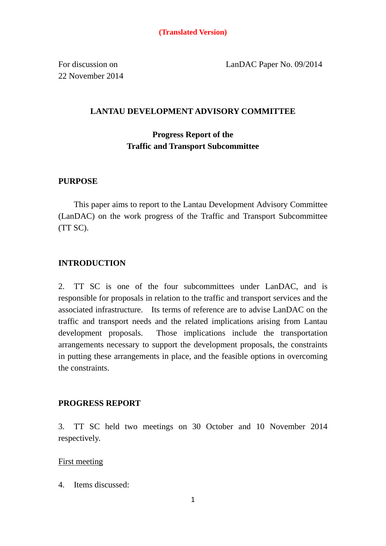For discussion on 22 November 2014 LanDAC Paper No. 09/2014

### **LANTAU DEVELOPMENT ADVISORY COMMITTEE**

# **Progress Report of the Traffic and Transport Subcommittee**

### **PURPOSE**

 This paper aims to report to the Lantau Development Advisory Committee (LanDAC) on the work progress of the Traffic and Transport Subcommittee (TT SC).

### **INTRODUCTION**

2. TT SC is one of the four subcommittees under LanDAC, and is responsible for proposals in relation to the traffic and transport services and the associated infrastructure. Its terms of reference are to advise LanDAC on the traffic and transport needs and the related implications arising from Lantau development proposals. Those implications include the transportation arrangements necessary to support the development proposals, the constraints in putting these arrangements in place, and the feasible options in overcoming the constraints.

### **PROGRESS REPORT**

3. TT SC held two meetings on 30 October and 10 November 2014 respectively.

### First meeting

4. Items discussed: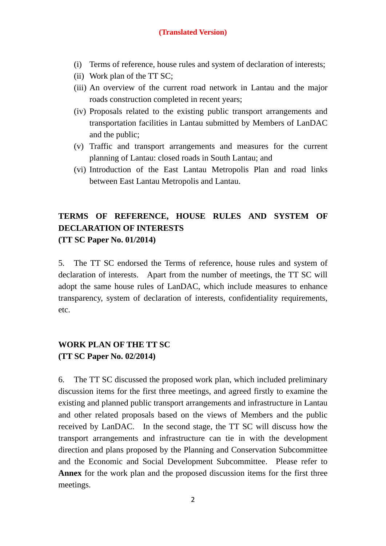- (i) Terms of reference, house rules and system of declaration of interests;
- (ii) Work plan of the TT SC;
- (iii) An overview of the current road network in Lantau and the major roads construction completed in recent years;
- (iv) Proposals related to the existing public transport arrangements and transportation facilities in Lantau submitted by Members of LanDAC and the public;
- (v) Traffic and transport arrangements and measures for the current planning of Lantau: closed roads in South Lantau; and
- (vi) Introduction of the East Lantau Metropolis Plan and road links between East Lantau Metropolis and Lantau.

# **TERMS OF REFERENCE, HOUSE RULES AND SYSTEM OF DECLARATION OF INTERESTS (TT SC Paper No. 01/2014)**

5. The TT SC endorsed the Terms of reference, house rules and system of declaration of interests. Apart from the number of meetings, the TT SC will adopt the same house rules of LanDAC, which include measures to enhance transparency, system of declaration of interests, confidentiality requirements, etc.

# **WORK PLAN OF THE TT SC (TT SC Paper No. 02/2014)**

6. The TT SC discussed the proposed work plan, which included preliminary discussion items for the first three meetings, and agreed firstly to examine the existing and planned public transport arrangements and infrastructure in Lantau and other related proposals based on the views of Members and the public received by LanDAC. In the second stage, the TT SC will discuss how the transport arrangements and infrastructure can tie in with the development direction and plans proposed by the Planning and Conservation Subcommittee and the Economic and Social Development Subcommittee. Please refer to **Annex** for the work plan and the proposed discussion items for the first three meetings.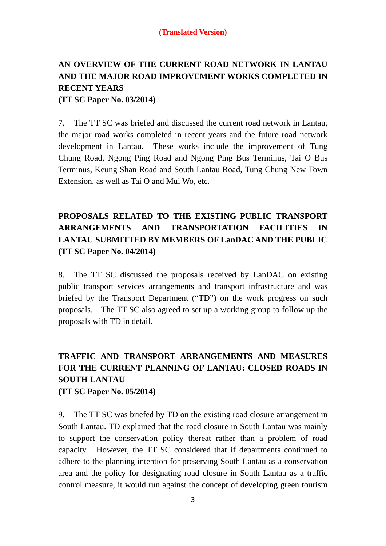# **AN OVERVIEW OF THE CURRENT ROAD NETWORK IN LANTAU AND THE MAJOR ROAD IMPROVEMENT WORKS COMPLETED IN RECENT YEARS**

**(TT SC Paper No. 03/2014)** 

7. The TT SC was briefed and discussed the current road network in Lantau, the major road works completed in recent years and the future road network development in Lantau. These works include the improvement of Tung Chung Road, Ngong Ping Road and Ngong Ping Bus Terminus, Tai O Bus Terminus, Keung Shan Road and South Lantau Road, Tung Chung New Town Extension, as well as Tai O and Mui Wo, etc.

# **PROPOSALS RELATED TO THE EXISTING PUBLIC TRANSPORT ARRANGEMENTS AND TRANSPORTATION FACILITIES IN LANTAU SUBMITTED BY MEMBERS OF LanDAC AND THE PUBLIC (TT SC Paper No. 04/2014)**

8. The TT SC discussed the proposals received by LanDAC on existing public transport services arrangements and transport infrastructure and was briefed by the Transport Department ("TD") on the work progress on such proposals. The TT SC also agreed to set up a working group to follow up the proposals with TD in detail.

# **TRAFFIC AND TRANSPORT ARRANGEMENTS AND MEASURES FOR THE CURRENT PLANNING OF LANTAU: CLOSED ROADS IN SOUTH LANTAU**

**(TT SC Paper No. 05/2014)** 

9. The TT SC was briefed by TD on the existing road closure arrangement in South Lantau. TD explained that the road closure in South Lantau was mainly to support the conservation policy thereat rather than a problem of road capacity. However, the TT SC considered that if departments continued to adhere to the planning intention for preserving South Lantau as a conservation area and the policy for designating road closure in South Lantau as a traffic control measure, it would run against the concept of developing green tourism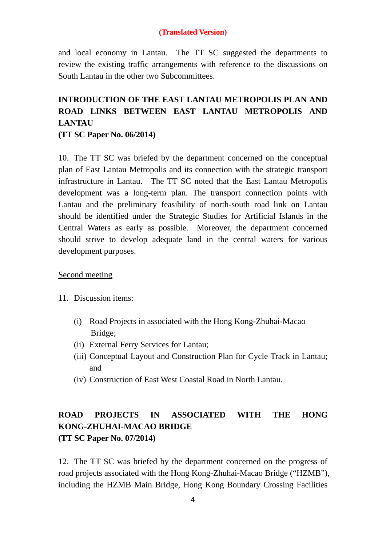and local economy in Lantau. The TT SC suggested the departments to review the existing traffic arrangements with reference to the discussions on South Lantau in the other two Subcommittees.

# **INTRODUCTION OF THE EAST LANTAU METROPOLIS PLAN AND ROAD LINKS BETWEEN EAST LANTAU METROPOLIS AND LANTAU**

**(TT SC Paper No. 06/2014)** 

10. The TT SC was briefed by the department concerned on the conceptual plan of East Lantau Metropolis and its connection with the strategic transport infrastructure in Lantau. The TT SC noted that the East Lantau Metropolis development was a long-term plan. The transport connection points with Lantau and the preliminary feasibility of north-south road link on Lantau should be identified under the Strategic Studies for Artificial Islands in the Central Waters as early as possible. Moreover, the department concerned should strive to develop adequate land in the central waters for various development purposes.

### Second meeting

- 11. Discussion items:
	- (i) Road Projects in associated with the Hong Kong-Zhuhai-Macao Bridge;
	- (ii) External Ferry Services for Lantau;
	- (iii) Conceptual Layout and Construction Plan for Cycle Track in Lantau; and
	- (iv) Construction of East West Coastal Road in North Lantau.

# **ROAD PROJECTS IN ASSOCIATED WITH THE HONG KONG-ZHUHAI-MACAO BRIDGE (TT SC Paper No. 07/2014)**

12. The TT SC was briefed by the department concerned on the progress of road projects associated with the Hong Kong-Zhuhai-Macao Bridge ("HZMB"), including the HZMB Main Bridge, Hong Kong Boundary Crossing Facilities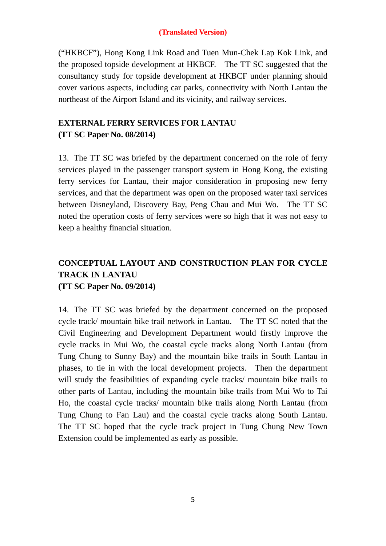("HKBCF"), Hong Kong Link Road and Tuen Mun-Chek Lap Kok Link, and the proposed topside development at HKBCF. The TT SC suggested that the consultancy study for topside development at HKBCF under planning should cover various aspects, including car parks, connectivity with North Lantau the northeast of the Airport Island and its vicinity, and railway services.

# **EXTERNAL FERRY SERVICES FOR LANTAU (TT SC Paper No. 08/2014)**

13. The TT SC was briefed by the department concerned on the role of ferry services played in the passenger transport system in Hong Kong, the existing ferry services for Lantau, their major consideration in proposing new ferry services, and that the department was open on the proposed water taxi services between Disneyland, Discovery Bay, Peng Chau and Mui Wo. The TT SC noted the operation costs of ferry services were so high that it was not easy to keep a healthy financial situation.

# **CONCEPTUAL LAYOUT AND CONSTRUCTION PLAN FOR CYCLE TRACK IN LANTAU (TT SC Paper No. 09/2014)**

14. The TT SC was briefed by the department concerned on the proposed cycle track/ mountain bike trail network in Lantau. The TT SC noted that the Civil Engineering and Development Department would firstly improve the cycle tracks in Mui Wo, the coastal cycle tracks along North Lantau (from Tung Chung to Sunny Bay) and the mountain bike trails in South Lantau in phases, to tie in with the local development projects. Then the department will study the feasibilities of expanding cycle tracks/ mountain bike trails to other parts of Lantau, including the mountain bike trails from Mui Wo to Tai Ho, the coastal cycle tracks/ mountain bike trails along North Lantau (from Tung Chung to Fan Lau) and the coastal cycle tracks along South Lantau. The TT SC hoped that the cycle track project in Tung Chung New Town Extension could be implemented as early as possible.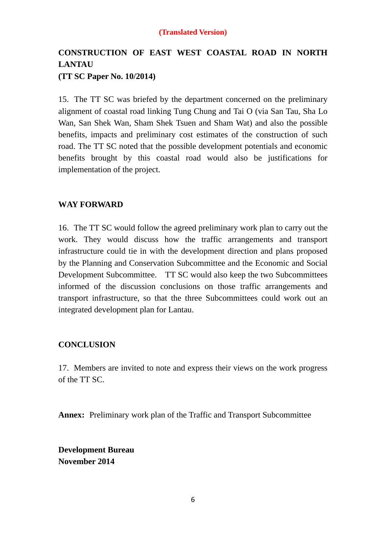# **CONSTRUCTION OF EAST WEST COASTAL ROAD IN NORTH LANTAU (TT SC Paper No. 10/2014)**

15. The TT SC was briefed by the department concerned on the preliminary alignment of coastal road linking Tung Chung and Tai O (via San Tau, Sha Lo Wan, San Shek Wan, Sham Shek Tsuen and Sham Wat) and also the possible benefits, impacts and preliminary cost estimates of the construction of such road. The TT SC noted that the possible development potentials and economic benefits brought by this coastal road would also be justifications for implementation of the project.

### **WAY FORWARD**

16. The TT SC would follow the agreed preliminary work plan to carry out the work. They would discuss how the traffic arrangements and transport infrastructure could tie in with the development direction and plans proposed by the Planning and Conservation Subcommittee and the Economic and Social Development Subcommittee. TT SC would also keep the two Subcommittees informed of the discussion conclusions on those traffic arrangements and transport infrastructure, so that the three Subcommittees could work out an integrated development plan for Lantau.

#### **CONCLUSION**

17. Members are invited to note and express their views on the work progress of the TT SC.

**Annex:** Preliminary work plan of the Traffic and Transport Subcommittee

**Development Bureau November 2014**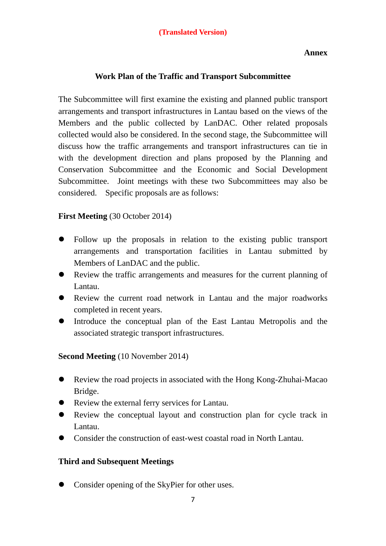#### **Annex**

### **Work Plan of the Traffic and Transport Subcommittee**

The Subcommittee will first examine the existing and planned public transport arrangements and transport infrastructures in Lantau based on the views of the Members and the public collected by LanDAC. Other related proposals collected would also be considered. In the second stage, the Subcommittee will discuss how the traffic arrangements and transport infrastructures can tie in with the development direction and plans proposed by the Planning and Conservation Subcommittee and the Economic and Social Development Subcommittee. Joint meetings with these two Subcommittees may also be considered. Specific proposals are as follows:

### **First Meeting** (30 October 2014)

- Follow up the proposals in relation to the existing public transport arrangements and transportation facilities in Lantau submitted by Members of LanDAC and the public.
- Review the traffic arrangements and measures for the current planning of Lantau.
- Review the current road network in Lantau and the major roadworks completed in recent years.
- Introduce the conceptual plan of the East Lantau Metropolis and the associated strategic transport infrastructures.

**Second Meeting** (10 November 2014)

- Review the road projects in associated with the Hong Kong-Zhuhai-Macao Bridge.
- Review the external ferry services for Lantau.
- Review the conceptual layout and construction plan for cycle track in Lantau.
- Consider the construction of east-west coastal road in North Lantau.

### **Third and Subsequent Meetings**

Consider opening of the SkyPier for other uses.